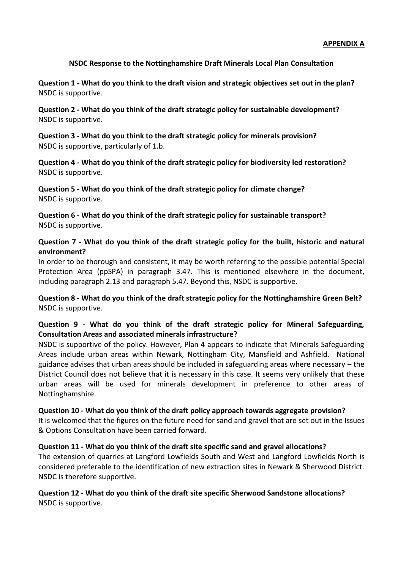### **NSDC Response to the Nottinghamshire Draft Minerals Local Plan Consultation**

**Question 1 - What do you think to the draft vision and strategic objectives set out in the plan?** NSDC is supportive.

**Question 2 - What do you think of the draft strategic policy for sustainable development?** NSDC is supportive.

**Question 3 - What do you think to the draft strategic policy for minerals provision?** NSDC is supportive, particularly of 1.b.

**Question 4 - What do you think of the draft strategic policy for biodiversity led restoration?** NSDC is supportive.

**Question 5 - What do you think of the draft strategic policy for climate change?** NSDC is supportive.

**Question 6 - What do you think of the draft strategic policy for sustainable transport?** NSDC is supportive.

### **Question 7 - What do you think of the draft strategic policy for the built, historic and natural environment?**

In order to be thorough and consistent, it may be worth referring to the possible potential Special Protection Area (ppSPA) in paragraph 3.47. This is mentioned elsewhere in the document, including paragraph 2.13 and paragraph 5.47. Beyond this, NSDC is supportive.

**Question 8 - What do you think of the draft strategic policy for the Nottinghamshire Green Belt?** NSDC is supportive.

# **Question 9 - What do you think of the draft strategic policy for Mineral Safeguarding, Consultation Areas and associated minerals infrastructure?**

NSDC is supportive of the policy. However, Plan 4 appears to indicate that Minerals Safeguarding Areas include urban areas within Newark, Nottingham City, Mansfield and Ashfield. National guidance advises that urban areas should be included in safeguarding areas where necessary – the District Council does not believe that it is necessary in this case. It seems very unlikely that these urban areas will be used for minerals development in preference to other areas of Nottinghamshire.

#### **Question 10 - What do you think of the draft policy approach towards aggregate provision?**

It is welcomed that the figures on the future need for sand and gravel that are set out in the Issues & Options Consultation have been carried forward.

**Question 11 - What do you think of the draft site specific sand and gravel allocations?** The extension of quarries at Langford Lowfields South and West and Langford Lowfields North is considered preferable to the identification of new extraction sites in Newark & Sherwood District. NSDC is therefore supportive.

#### **Question 12 - What do you think of the draft site specific Sherwood Sandstone allocations?** NSDC is supportive.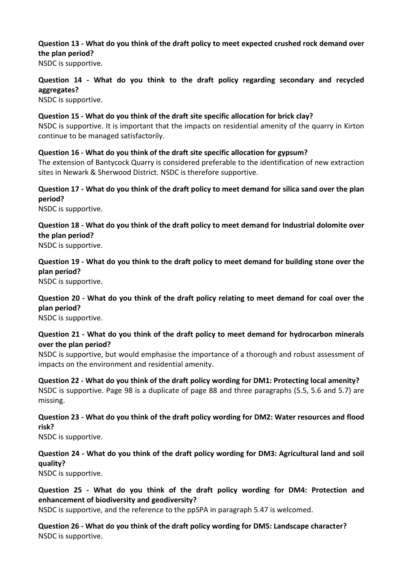**Question 13 - What do you think of the draft policy to meet expected crushed rock demand over the plan period?**

NSDC is supportive.

# **Question 14 - What do you think to the draft policy regarding secondary and recycled aggregates?**

NSDC is supportive.

**Question 15 - What do you think of the draft site specific allocation for brick clay?** NSDC is supportive. It is important that the impacts on residential amenity of the quarry in Kirton continue to be managed satisfactorily.

**Question 16 - What do you think of the draft site specific allocation for gypsum?** The extension of Bantycock Quarry is considered preferable to the identification of new extraction sites in Newark & Sherwood District. NSDC is therefore supportive.

**Question 17 - What do you think of the draft policy to meet demand for silica sand over the plan period?**

NSDC is supportive.

**Question 18 - What do you think of the draft policy to meet demand for Industrial dolomite over the plan period?**

NSDC is supportive.

**Question 19 - What do you think to the draft policy to meet demand for building stone over the plan period?**

NSDC is supportive.

**Question 20 - What do you think of the draft policy relating to meet demand for coal over the plan period?**

NSDC is supportive.

# **Question 21 - What do you think of the draft policy to meet demand for hydrocarbon minerals over the plan period?**

NSDC is supportive, but would emphasise the importance of a thorough and robust assessment of impacts on the environment and residential amenity.

**Question 22 - What do you think of the draft policy wording for DM1: Protecting local amenity?** NSDC is supportive. Page 98 is a duplicate of page 88 and three paragraphs (5.5, 5.6 and 5.7) are missing.

**Question 23 - What do you think of the draft policy wording for DM2: Water resources and flood risk?**

NSDC is supportive.

# **Question 24 - What do you think of the draft policy wording for DM3: Agricultural land and soil quality?**

NSDC is supportive.

**Question 25 - What do you think of the draft policy wording for DM4: Protection and enhancement of biodiversity and geodiversity?**

NSDC is supportive, and the reference to the ppSPA in paragraph 5.47 is welcomed.

**Question 26 - What do you think of the draft policy wording for DM5: Landscape character?** NSDC is supportive.